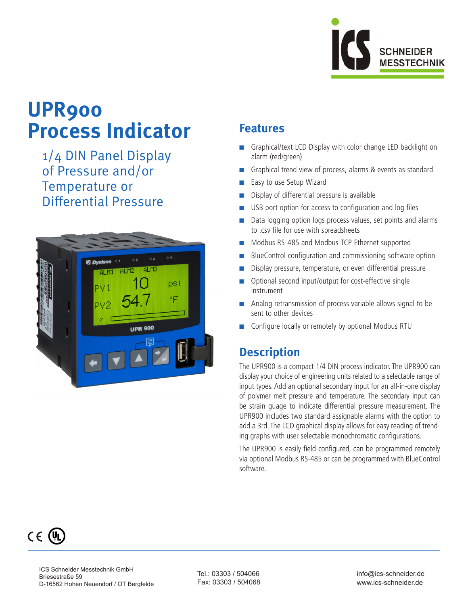

# **UPR900 Process Indicator**

 1/4 DIN Panel Display of Pressure and/or Temperature or Differential Pressure



## **Features**

- Graphical/text LCD Display with color change LED backlight on alarm (red/green)
- Graphical trend view of process, alarms & events as standard
- Easy to use Setup Wizard
- Display of differential pressure is available
- USB port option for access to configuration and log files
- Data logging option logs process values, set points and alarms to .csv file for use with spreadsheets
- n Modbus RS-485 and Modbus TCP Ethernet supported
- BlueControl configuration and commissioning software option
- Display pressure, temperature, or even differential pressure
- Optional second input/output for cost-effective single instrument
- Analog retransmission of process variable allows signal to be sent to other devices
- Configure locally or remotely by optional Modbus RTU

# **Description**

The UPR900 is a compact 1/4 DIN process indicator. The UPR900 can display your choice of engineering units related to a selectable range of input types. Add an optional secondary input for an all-in-one display of polymer melt pressure and temperature. The secondary input can be strain guage to indicate differential pressure measurement. The UPR900 includes two standard assignable alarms with the option to add a 3rd. The LCD graphical display allows for easy reading of trending graphs with user selectable monochromatic configurations.

The UPR900 is easily field-configured, can be programmed remotely via optional Modbus RS-485 or can be programmed with BlueControl software.



Tel.: 03303 / 504066 Fax: 03303 / 504068